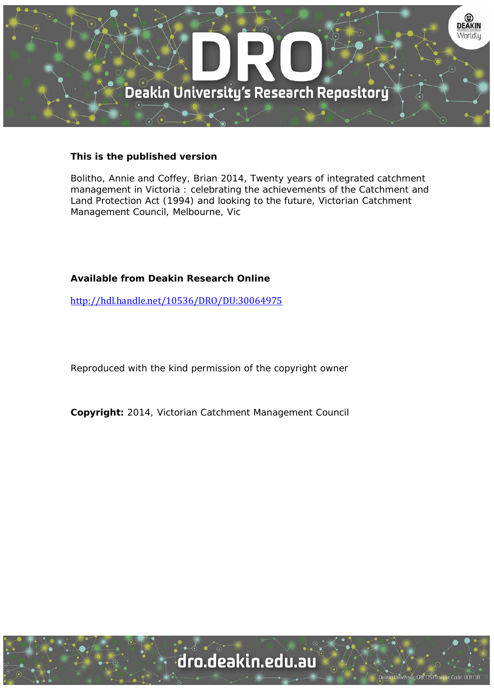

#### **This is the published version**

Bolitho, Annie and Coffey, Brian 2014, Twenty years of integrated catchment management in Victoria : celebrating the achievements of the Catchment and Land Protection Act (1994) and looking to the future, Victorian Catchment Management Council, Melbourne, Vic

#### **Available from Deakin Research Online**

http://hdl.handle.net/10536/DRO/DU:30064975

Reproduced with the kind permission of the copyright owner

**Copyright:** 2014, Victorian Catchment Management Council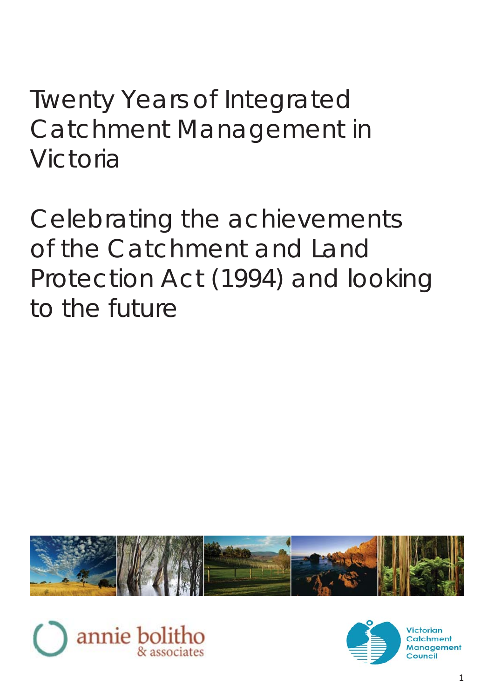Twenty Years of Integrated Catchment Management in Victoria

Celebrating the achievements of the Catchment and Land Protection Act (1994) and looking to the future





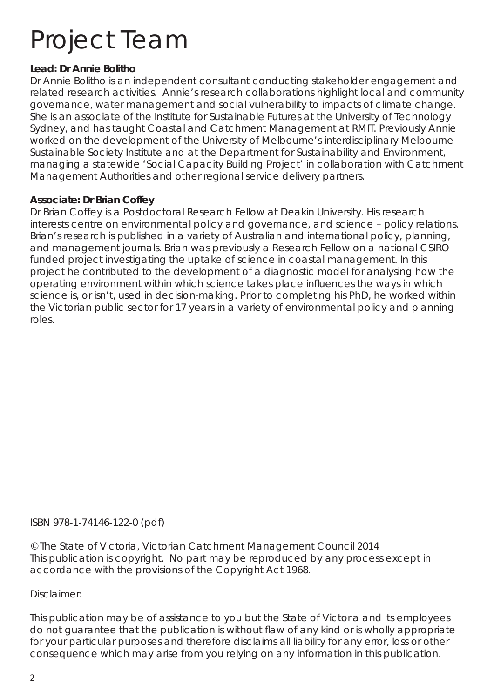# Project Team

### **Lead: Dr Annie Bolitho**

Dr Annie Bolitho is an independent consultant conducting stakeholder engagement and related research activities. Annie's research collaborations highlight local and community governance, water management and social vulnerability to impacts of climate change. She is an associate of the Institute for Sustainable Futures at the University of Technology Sydney, and has taught Coastal and Catchment Management at RMIT. Previously Annie worked on the development of the University of Melbourne's interdisciplinary Melbourne Sustainable Society Institute and at the Department for Sustainability and Environment, managing a statewide 'Social Capacity Building Project' in collaboration with Catchment Management Authorities and other regional service delivery partners.

### **Associate: Dr Brian Coffey**

Dr Brian Coffey is a Postdoctoral Research Fellow at Deakin University. His research interests centre on environmental policy and governance, and science – policy relations. Brian's research is published in a variety of Australian and international policy, planning, and management journals. Brian was previously a Research Fellow on a national CSIRO funded project investigating the uptake of science in coastal management. In this project he contributed to the development of a diagnostic model for analysing how the operating environment within which science takes place influences the ways in which science is, or isn't, used in decision-making. Prior to completing his PhD, he worked within the Victorian public sector for 17 years in a variety of environmental policy and planning roles.

### ISBN 978-1-74146-122-0 (pdf)

© The State of Victoria, Victorian Catchment Management Council 2014 This publication is copyright. No part may be reproduced by any process except in accordance with the provisions of the Copyright Act 1968.

### Disclaimer:

This publication may be of assistance to you but the State of Victoria and its employees do not quarantee that the publication is without flaw of any kind or is wholly appropriate for your particular purposes and therefore disclaims all liability for any error, loss or other consequence which may arise from you relying on any information in this publication.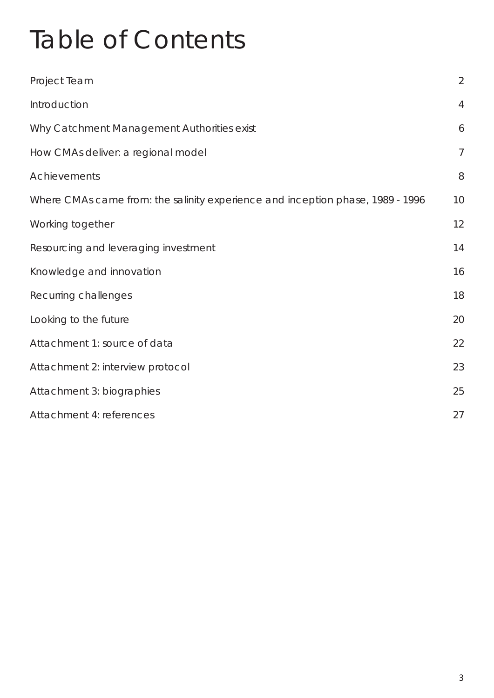# Table of Contents

| Project Team                                                                   | $\overline{2}$ |  |
|--------------------------------------------------------------------------------|----------------|--|
| Introduction                                                                   | $\overline{4}$ |  |
| Why Catchment Management Authorities exist                                     | 6              |  |
| How CMAs deliver: a regional model                                             | $\overline{7}$ |  |
| Achievements                                                                   | 8              |  |
| Where CMAs came from: the salinity experience and inception phase, 1989 - 1996 | 10             |  |
| Working together                                                               | 12             |  |
| Resourcing and leveraging investment                                           | 14             |  |
| Knowledge and innovation                                                       | 16             |  |
| Recurring challenges                                                           | 18             |  |
| Looking to the future                                                          | 20             |  |
| Attachment 1: source of data                                                   | 22             |  |
| Attachment 2: interview protocol                                               | 23             |  |
| Attachment 3: biographies                                                      |                |  |
| Attachment 4: references                                                       | 27             |  |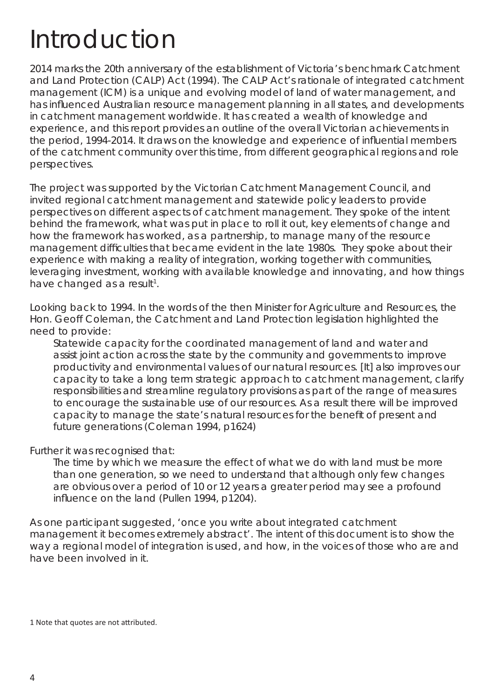## Introduction

2014 marks the 20th anniversary of the establishment of Victoria's benchmark Catchment and Land Protection (CALP) Act (1994). The CALP Act's rationale of integrated catchment management (ICM) is a unique and evolving model of land of water management, and has influenced Australian resource management planning in all states, and developments in catchment management worldwide. It has created a wealth of knowledge and experience, and this report provides an outline of the overall Victorian achievements in the period, 1994-2014. It draws on the knowledge and experience of influential members of the catchment community over this time, from different geographical regions and role perspectives.

The project was supported by the Victorian Catchment Management Council, and invited regional catchment management and statewide policy leaders to provide perspectives on different aspects of catchment management. They spoke of the intent behind the framework, what was put in place to roll it out, key elements of change and how the framework has worked, as a partnership, to manage many of the resource management difficulties that became evident in the late 1980s. They spoke about their experience with making a reality of integration, working together with communities, leveraging investment, working with available knowledge and innovating, and how things have changed as a result<sup>1</sup>.

Looking back to 1994. In the words of the then Minister for Agriculture and Resources, the Hon. Geoff Coleman, the Catchment and Land Protection legislation highlighted the need to provide:

Statewide capacity for the coordinated management of land and water and assist joint action across the state by the community and governments to improve productivity and environmental values of our natural resources. [It] also improves our capacity to take a long term strategic approach to catchment management, clarify responsibilities and streamline regulatory provisions as part of the range of measures to encourage the sustainable use of our resources. As a result there will be improved capacity to manage the state's natural resources for the benefit of present and future generations (Coleman 1994, p1624)

Further it was recognised that:

The time by which we measure the effect of what we do with land must be more than one generation, so we need to understand that although only few changes are obvious over a period of 10 or 12 years a greater period may see a profound influence on the land (Pullen 1994, p1204).

As one participant suggested, 'once you write about integrated catchment management it becomes extremely abstract'. The intent of this document is to show the way a regional model of integration is used, and how, in the voices of those who are and have been involved in it.

1 Note that quotes are not attributed.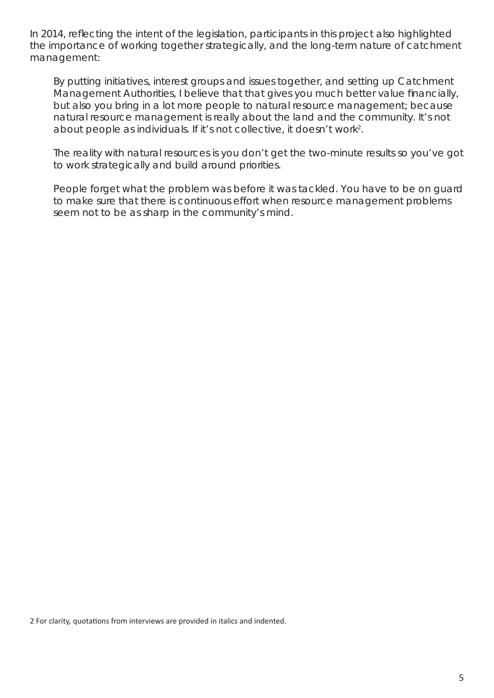In 2014, reflecting the intent of the legislation, participants in this project also highlighted the importance of working together strategically, and the long-term nature of catchment management:

*By putting initiatives, interest groups and issues together, and setting up Catchment Management Authorities, I believe that that gives you much better value financially, but also you bring in a lot more people to natural resource management; because natural resource management is really about the land and the community. It's not about people as individuals. If it's not collective, it doesn't work2 .* 

*The reality with natural resources is you don't get the two-minute results so you've got to work strategically and build around priorities.*

*People forget what the problem was before it was tackled. You have to be on guard to make sure that there is continuous effort when resource management problems seem not to be as sharp in the community's mind.* 

2 For clarity, quotations from interviews are provided in italics and indented.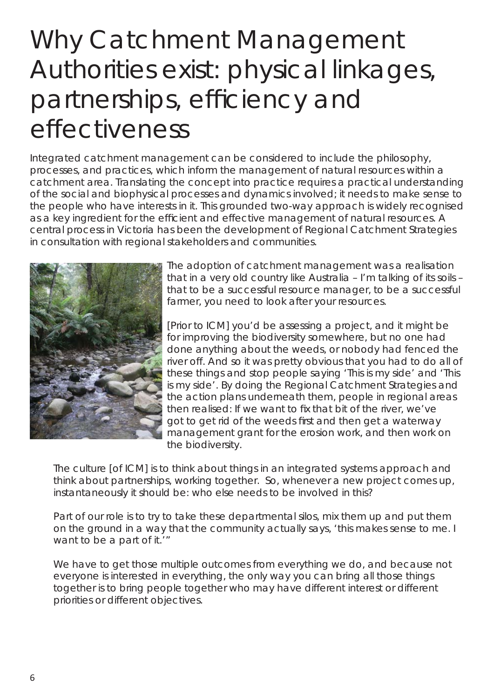# Why Catchment Management Authorities exist: physical linkages, partnerships, efficiency and effectiveness

Integrated catchment management can be considered to include the philosophy, processes, and practices, which inform the management of natural resources within a catchment area. Translating the concept into practice requires a practical understanding of the social and biophysical processes and dynamics involved; it needs to make sense to the people who have interests in it. This grounded two-way approach is widely recognised as a key ingredient for the efficient and effective management of natural resources. A central process in Victoria has been the development of Regional Catchment Strategies in consultation with regional stakeholders and communities.



*The adoption of catchment management was a realisation that in a very old country like Australia – I'm talking of its soils – that to be a successful resource manager, to be a successful farmer, you need to look after your resources.* 

*[Prior to ICM] you'd be assessing a project, and it might be for improving the biodiversity somewhere, but no one had done anything about the weeds, or nobody had fenced the river off. And so it was pretty obvious that you had to do all of these things and stop people saying 'This is my side' and 'This is my side'. By doing the Regional Catchment Strategies and the action plans underneath them, people in regional areas*  then realised: If we want to fix that bit of the river, we've *got to get rid of the weeds first and then get a waterway management grant for the erosion work, and then work on the biodiversity.*

*The culture [of ICM] is to think about things in an integrated systems approach and think about partnerships, working together. So, whenever a new project comes up, instantaneously it should be: who else needs to be involved in this?* 

Part of our role is to try to take these departmental silos, mix them up and put them *on the ground in a way that the community actually says, 'this makes sense to me. I want to be a part of it.'"*

We have to get those multiple outcomes from everything we do, and because not *everyone is interested in everything, the only way you can bring all those things*  together is to bring people together who may have different interest or different *priorities or different objectives.*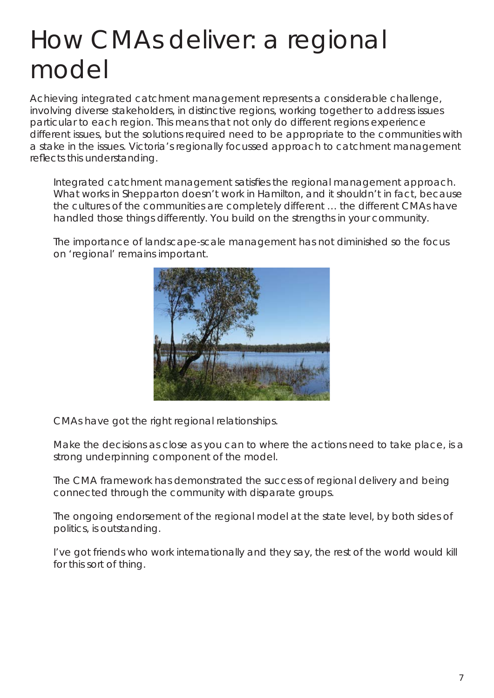# How CMAs deliver: a regional model

Achieving integrated catchment management represents a considerable challenge, involving diverse stakeholders, in distinctive regions, working together to address issues particular to each region. This means that not only do different regions experience different issues, but the solutions required need to be appropriate to the communities with a stake in the issues. Victoria's regionally focussed approach to catchment management reflects this understanding.

Integrated catchment management satisfies the regional management approach. *What works in Shepparton doesn't work in Hamilton, and it shouldn't in fact, because the cultures of the communities are completely different … the different CMAs have handled those things differently. You build on the strengths in your community.*

*The importance of landscape-scale management has not diminished so the focus on 'regional' remains important.* 



*CMAs have got the right regional relationships.*

*Make the decisions as close as you can to where the actions need to take place, is a strong underpinning component of the model.* 

The CMA framework has demonstrated the success of regional delivery and being *connected through the community with disparate groups.*

*The ongoing endorsement of the regional model at the state level, by both sides of politics, is outstanding.* 

*I've got friends who work internationally and they say, the rest of the world would kill for this sort of thing.*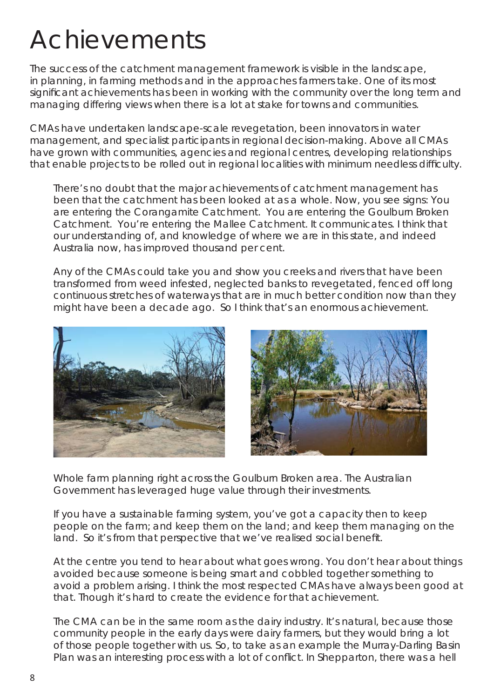## Achievements

The success of the catchment management framework is visible in the landscape, in planning, in farming methods and in the approaches farmers take. One of its most significant achievements has been in working with the community over the long term and managing differing views when there is a lot at stake for towns and communities.

CMAs have undertaken landscape-scale revegetation, been innovators in water management, and specialist participants in regional decision-making. Above all CMAs have grown with communities, agencies and regional centres, developing relationships that enable projects to be rolled out in regional localities with minimum needless difficulty.

*There's no doubt that the major achievements of catchment management has been that the catchment has been looked at as a whole. Now, you see signs: You are entering the Corangamite Catchment. You are entering the Goulburn Broken*  Catchment. You're entering the Mallee Catchment. It communicates. I think that *our understanding of, and knowledge of where we are in this state, and indeed Australia now, has improved thousand per cent.*

*Any of the CMAs could take you and show you creeks and rivers that have been*  transformed from weed infested, neglected banks to revegetated, fenced off long *continuous stretches of waterways that are in much better condition now than they might have been a decade ago. So I think that's an enormous achievement.*





*Whole farm planning right across the Goulburn Broken area. The Australian Government has leveraged huge value through their investments.*

*If you have a sustainable farming system, you've got a capacity then to keep people on the farm; and keep them on the land; and keep them managing on the* land. So it's from that perspective that we've realised social benefit.

*At the centre you tend to hear about what goes wrong. You don't hear about things avoided because someone is being smart and cobbled together something to avoid a problem arising. I think the most respected CMAs have always been good at that. Though it's hard to create the evidence for that achievement.* 

*The CMA can be in the same room as the dairy industry. It's natural, because those community people in the early days were dairy farmers, but they would bring a lot of those people together with us. So, to take as an example the Murray-Darling Basin Plan was an interesting process with a lot of conflict. In Shepparton, there was a hell*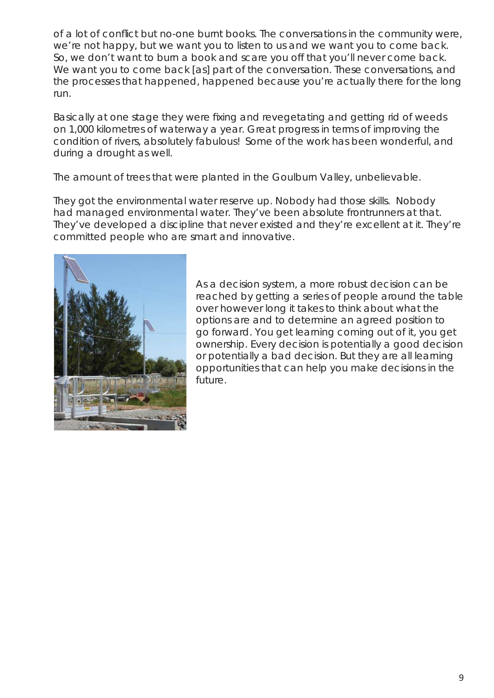of a lot of conflict but no-one burnt books. The conversations in the community were, *we're not happy, but we want you to listen to us and we want you to come back. So, we don't want to burn a book and scare you off that you'll never come back. We want you to come back [as] part of the conversation. These conversations, and the processes that happened, happened because you're actually there for the long run.* 

Basically at one stage they were fixing and revegetating and getting rid of weeds *on 1,000 kilometres of waterway a year. Great progress in terms of improving the condition of rivers, absolutely fabulous! Some of the work has been wonderful, and during a drought as well.* 

*The amount of trees that were planted in the Goulburn Valley, unbelievable.*

*They got the environmental water reserve up. Nobody had those skills. Nobody had managed environmental water. They've been absolute frontrunners at that. They've developed a discipline that never existed and they're excellent at it. They're committed people who are smart and innovative.*



*As a decision system, a more robust decision can be reached by getting a series of people around the table over however long it takes to think about what the options are and to determine an agreed position to go forward. You get learning coming out of it, you get ownership. Every decision is potentially a good decision or potentially a bad decision. But they are all learning opportunities that can help you make decisions in the future.*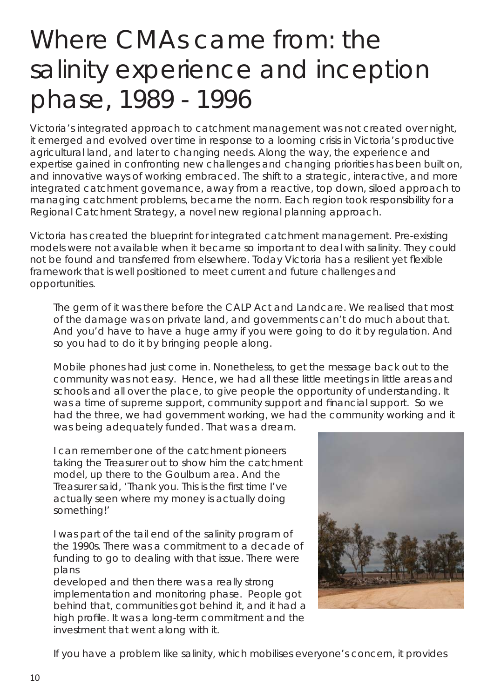### Where CMAs came from: the salinity experience and inception phase, 1989 - 1996

Victoria's integrated approach to catchment management was not created over night, it emerged and evolved over time in response to a looming crisis in Victoria's productive agricultural land, and later to changing needs. Along the way, the experience and expertise gained in confronting new challenges and changing priorities has been built on, and innovative ways of working embraced. The shift to a strategic, interactive, and more integrated catchment governance, away from a reactive, top down, siloed approach to managing catchment problems, became the norm. Each region took responsibility for a Regional Catchment Strategy, a novel new regional planning approach.

Victoria has created the blueprint for integrated catchment management. Pre-existing models were not available when it became so important to deal with salinity. They could not be found and transferred from elsewhere. Today Victoria has a resilient yet flexible framework that is well positioned to meet current and future challenges and opportunities.

*The germ of it was there before the CALP Act and Landcare. We realised that most of the damage was on private land, and governments can't do much about that. And you'd have to have a huge army if you were going to do it by regulation. And so you had to do it by bringing people along.*

*Mobile phones had just come in. Nonetheless, to get the message back out to the community was not easy. Hence, we had all these little meetings in little areas and schools and all over the place, to give people the opportunity of understanding. It*  was a time of supreme support, community support and financial support. So we had the three, we had government working, we had the community working and it *was being adequately funded. That was a dream.*

*I can remember one of the catchment pioneers taking the Treasurer out to show him the catchment model, up there to the Goulburn area. And the Treasurer said, 'Thank you. This is the first time I've actually seen where my money is actually doing something!'*

*I was part of the tail end of the salinity program of the 1990s. There was a commitment to a decade of funding to go to dealing with that issue. There were plans* 

*developed and then there was a really strong implementation and monitoring phase. People got behind that, communities got behind it, and it had a*  high profile. It was a long-term commitment and the *investment that went along with it.*



*If you have a problem like salinity, which mobilises everyone's concern, it provides*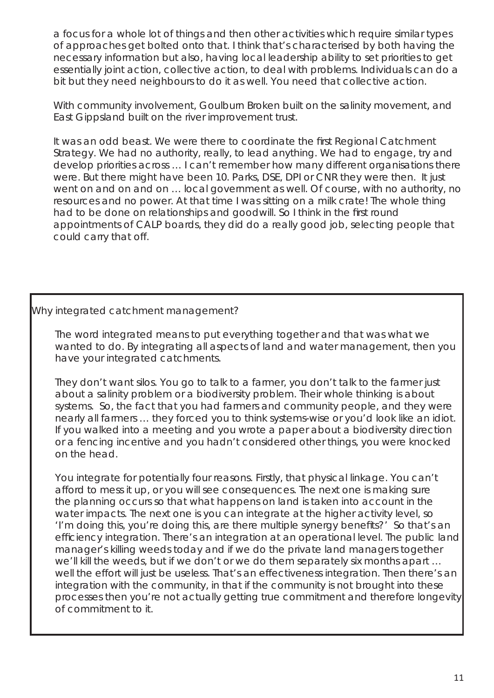*a focus for a whole lot of things and then other activities which require similar types of approaches get bolted onto that. I think that's characterised by both having the necessary information but also, having local leadership ability to set priorities to get essentially joint action, collective action, to deal with problems. Individuals can do a bit but they need neighbours to do it as well. You need that collective action.* 

*With community involvement, Goulburn Broken built on the salinity movement, and East Gippsland built on the river improvement trust.*

It was an odd beast. We were there to coordinate the first Regional Catchment *Strategy. We had no authority, really, to lead anything. We had to engage, try and develop priorities across … I can't remember how many different organisations there were. But there might have been 10. Parks, DSE, DPI or CNR they were then. It just went on and on and on … local government as well. Of course, with no authority, no*  resources and no power. At that time I was sitting on a milk crate! The whole thing had to be done on relationships and goodwill. So I think in the first round *appointments of CALP boards, they did do a really good job, selecting people that could carry that off.*

### Why integrated catchment management?

*The word integrated means to put everything together and that was what we wanted to do. By integrating all aspects of land and water management, then you have your integrated catchments.*

*They don't want silos. You go to talk to a farmer, you don't talk to the farmer just about a salinity problem or a biodiversity problem. Their whole thinking is about systems. So, the fact that you had farmers and community people, and they were nearly all farmers … they forced you to think systems-wise or you'd look like an idiot. If you walked into a meeting and you wrote a paper about a biodiversity direction or a fencing incentive and you hadn't considered other things, you were knocked on the head.* 

*You integrate for potentially four reasons. Firstly, that physical linkage. You can't afford to mess it up, or you will see consequences. The next one is making sure the planning occurs so that what happens on land is taken into account in the water impacts. The next one is you can integrate at the higher activity level, so*  'I'm doing this, you're doing this, are there multiple synergy benefits?' So that's an efficiency integration. There's an integration at an operational level. The public land *manager's killing weeds today and if we do the private land managers together we'll kill the weeds, but if we don't or we do them separately six months apart …*  well the effort will just be useless. That's an effectiveness integration. Then there's an *integration with the community, in that if the community is not brought into these processes then you're not actually getting true commitment and therefore longevity of commitment to it.*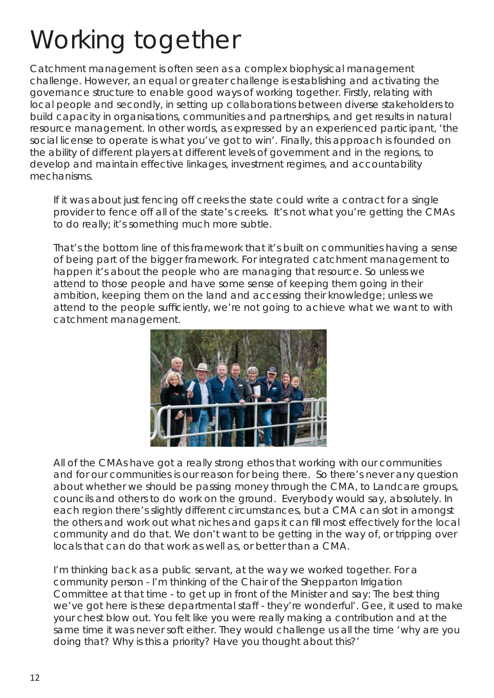# Working together

Catchment management is often seen as a complex biophysical management challenge. However, an equal or greater challenge is establishing and activating the governance structure to enable good ways of working together. Firstly, relating with local people and secondly, in setting up collaborations between diverse stakeholders to build capacity in organisations, communities and partnerships, and get results in natural resource management. In other words, as expressed by an experienced participant, *'the social license to operate is what you've got to win'*. Finally, this approach is founded on the ability of different players at different levels of government and in the regions, to develop and maintain effective linkages, investment regimes, and accountability mechanisms.

*If it was about just fencing off creeks the state could write a contract for a single provider to fence off all of the state's creeks. It's not what you're getting the CMAs to do really; it's something much more subtle.*

*That's the bottom line of this framework that it's built on communities having a sense of being part of the bigger framework. For integrated catchment management to happen it's about the people who are managing that resource. So unless we attend to those people and have some sense of keeping them going in their ambition, keeping them on the land and accessing their knowledge; unless we*  attend to the people sufficiently, we're not going to achieve what we want to with *catchment management.*



*All of the CMAs have got a really strong ethos that working with our communities and for our communities is our reason for being there. So there's never any question about whether we should be passing money through the CMA, to Landcare groups, councils and others to do work on the ground. Everybody would say, absolutely. In each region there's slightly different circumstances, but a CMA can slot in amongst*  the others and work out what niches and gaps it can fill most effectively for the local *community and do that. We don't want to be getting in the way of, or tripping over locals that can do that work as well as, or better than a CMA.*

*I'm thinking back as a public servant, at the way we worked together. For a community person - I'm thinking of the Chair of the Shepparton Irrigation Committee at that time - to get up in front of the Minister and say: The best thing we've got here is these departmental staff - they're wonderful'. Gee, it used to make your chest blow out. You felt like you were really making a contribution and at the same time it was never soft either. They would challenge us all the time 'why are you doing that? Why is this a priority? Have you thought about this?'*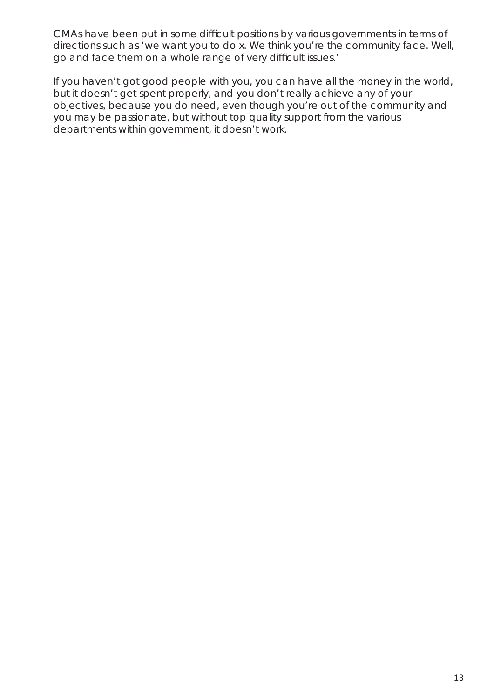*CMAs have been put in some difficult positions by various governments in terms of directions such as 'we want you to do x. We think you're the community face. Well,*  go and face them on a whole range of very difficult issues.'

*If you haven't got good people with you, you can have all the money in the world, but it doesn't get spent properly, and you don't really achieve any of your objectives, because you do need, even though you're out of the community and you may be passionate, but without top quality support from the various departments within government, it doesn't work.*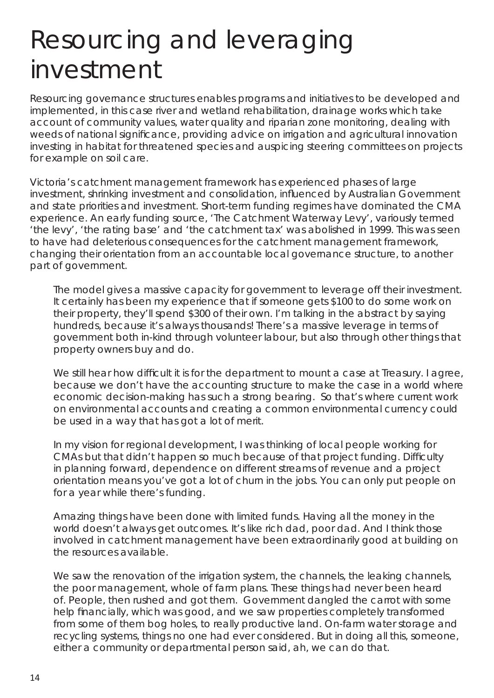## Resourcing and leveraging investment

Resourcing governance structures enables programs and initiatives to be developed and implemented, in this case river and wetland rehabilitation, drainage works which take account of community values, water quality and riparian zone monitoring, dealing with weeds of national significance, providing advice on irrigation and agricultural innovation investing in habitat for threatened species and auspicing steering committees on projects for example on soil care.

Victoria's catchment management framework has experienced phases of large investment, shrinking investment and consolidation, influenced by Australian Government and state priorities and investment. Short-term funding regimes have dominated the CMA experience. An early funding source, 'The Catchment Waterway Levy', variously termed 'the levy', 'the rating base' and 'the catchment tax' was abolished in 1999. This was seen to have had deleterious consequences for the catchment management framework, changing their orientation from an accountable local governance structure, to another part of government.

*The model gives a massive capacity for government to leverage off their investment. It certainly has been my experience that if someone gets \$100 to do some work on their property, they'll spend \$300 of their own. I'm talking in the abstract by saying hundreds, because it's always thousands! There's a massive leverage in terms of government both in-kind through volunteer labour, but also through other things that property owners buy and do.*

We still hear how difficult it is for the department to mount a case at Treasury. I agree, because we don't have the accounting structure to make the case in a world where *economic decision-making has such a strong bearing. So that's where current work on environmental accounts and creating a common environmental currency could be used in a way that has got a lot of merit.* 

*In my vision for regional development, I was thinking of local people working for CMAs but that didn't happen so much because of that project funding. Difficulty in planning forward, dependence on different streams of revenue and a project orientation means you've got a lot of churn in the jobs. You can only put people on for a year while there's funding.*

*Amazing things have been done with limited funds. Having all the money in the world doesn't always get outcomes. It's like rich dad, poor dad. And I think those involved in catchment management have been extraordinarily good at building on the resources available.*

*We saw the renovation of the irrigation system, the channels, the leaking channels, the poor management, whole of farm plans. These things had never been heard of. People, then rushed and got them. Government dangled the carrot with some*  help financially, which was good, and we saw properties completely transformed *from some of them bog holes, to really productive land. On-farm water storage and recycling systems, things no one had ever considered. But in doing all this, someone, either a community or departmental person said, ah, we can do that.*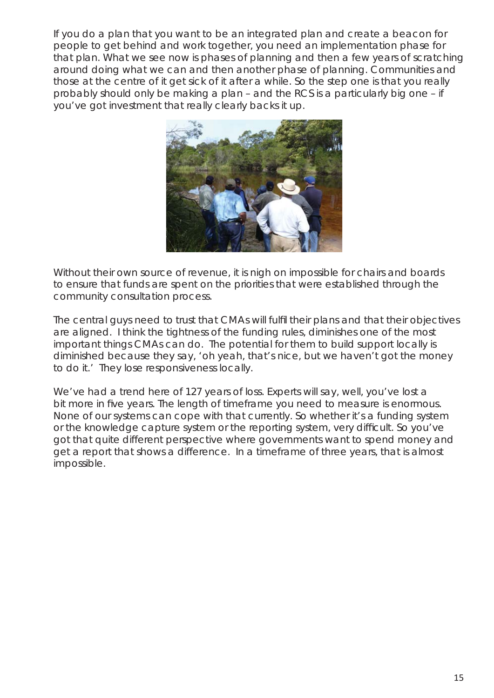*If you do a plan that you want to be an integrated plan and create a beacon for people to get behind and work together, you need an implementation phase for*  that plan. What we see now is phases of planning and then a few years of scratching *around doing what we can and then another phase of planning. Communities and those at the centre of it get sick of it after a while. So the step one is that you really probably should only be making a plan – and the RCS is a particularly big one – if you've got investment that really clearly backs it up.* 



*Without their own source of revenue, it is nigh on impossible for chairs and boards*  to ensure that funds are spent on the priorities that were established through the *community consultation process.*

The central guys need to trust that CMAs will fulfil their plans and that their objectives *are aligned. I think the tightness of the funding rules, diminishes one of the most important things CMAs can do. The potential for them to build support locally is diminished because they say, 'oh yeah, that's nice, but we haven't got the money to do it.' They lose responsiveness locally.*

We've had a trend here of 127 years of loss. Experts will say, well, you've lost a bit more in five years. The length of timeframe you need to measure is enormous. *None of our systems can cope with that currently. So whether it's a funding system or the knowledge capture system or the reporting system, very difficult. So you've got that quite different perspective where governments want to spend money and get a report that shows a difference. In a timeframe of three years, that is almost impossible.*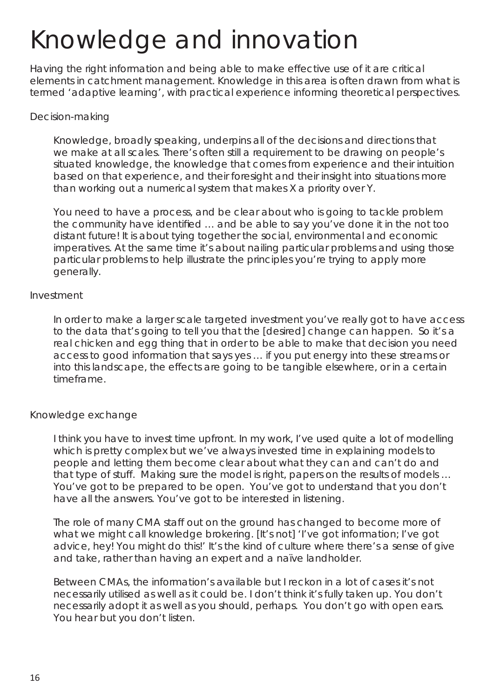# Knowledge and innovation

Having the right information and being able to make effective use of it are critical elements in catchment management. Knowledge in this area is often drawn from what is termed 'adaptive learning', with practical experience informing theoretical perspectives.

### Decision-making

*Knowledge, broadly speaking, underpins all of the decisions and directions that we make at all scales. There's often still a requirement to be drawing on people's situated knowledge, the knowledge that comes from experience and their intuition based on that experience, and their foresight and their insight into situations more than working out a numerical system that makes X a priority over Y.*

*You need to have a process, and be clear about who is going to tackle problem*  the community have identified ... and be able to say you've done it in the not too *distant future! It is about tying together the social, environmental and economic imperatives. At the same time it's about nailing particular problems and using those particular problems to help illustrate the principles you're trying to apply more generally.*

### Investment

*In order to make a larger scale targeted investment you've really got to have access to the data that's going to tell you that the [desired] change can happen. So it's a real chicken and egg thing that in order to be able to make that decision you need access to good information that says yes … if you put energy into these streams or into this landscape, the effects are going to be tangible elsewhere, or in a certain timeframe.* 

### Knowledge exchange

*I think you have to invest time upfront. In my work, I've used quite a lot of modelling which is pretty complex but we've always invested time in explaining models to people and letting them become clear about what they can and can't do and that type of stuff. Making sure the model is right, papers on the results of models … You've got to be prepared to be open. You've got to understand that you don't have all the answers. You've got to be interested in listening.* 

*The role of many CMA staff out on the ground has changed to become more of what we might call knowledge brokering. [It's not] 'I've got information; I've got advice, hey! You might do this!' It's the kind of culture where there's a sense of give and take, rather than having an expert and a naïve landholder.* 

*Between CMAs, the information's available but I reckon in a lot of cases it's not necessarily utilised as well as it could be. I don't think it's fully taken up. You don't necessarily adopt it as well as you should, perhaps. You don't go with open ears. You hear but you don't listen.*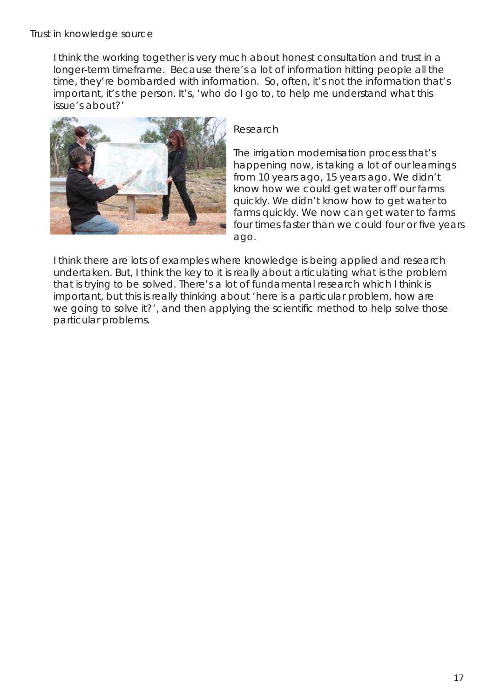*I think the working together is very much about honest consultation and trust in a longer-term timeframe. Because there's a lot of information hitting people all the time, they're bombarded with information. So, often, it's not the information that's important, it's the person. It's, 'who do I go to, to help me understand what this issue's about?'*



### Research

*The irrigation modernisation process that's happening now, is taking a lot of our learnings from 10 years ago, 15 years ago. We didn't know how we could get water off our farms quickly. We didn't know how to get water to farms quickly. We now can get water to farms*  four times faster than we could four or five years *ago.* 

*I think there are lots of examples where knowledge is being applied and research undertaken. But, I think the key to it is really about articulating what is the problem that is trying to be solved. There's a lot of fundamental research which I think is important, but this is really thinking about 'here is a particular problem, how are we going to solve it?', and then applying the scientific method to help solve those particular problems.*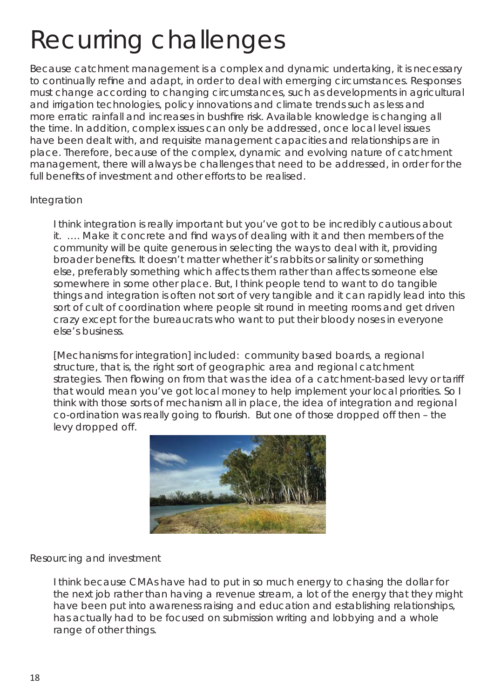# Recurring challenges

Because catchment management is a complex and dynamic undertaking, it is necessary to continually refine and adapt, in order to deal with emerging circumstances. Responses must change according to changing circumstances, such as developments in agricultural and irrigation technologies, policy innovations and climate trends such as less and more erratic rainfall and increases in bushfire risk. Available knowledge is changing all the time. In addition, complex issues can only be addressed, once local level issues have been dealt with, and requisite management capacities and relationships are in place. Therefore, because of the complex, dynamic and evolving nature of catchment management, there will always be challenges that need to be addressed, in order for the full benefits of investment and other efforts to be realised.

#### Integration

*I think integration is really important but you've got to be incredibly cautious about it. ....* Make it concrete and find ways of dealing with it and then members of the *community will be quite generous in selecting the ways to deal with it, providing*  broader benefits. It doesn't matter whether it's rabbits or salinity or something *else, preferably something which affects them rather than affects someone else somewhere in some other place. But, I think people tend to want to do tangible things and integration is often not sort of very tangible and it can rapidly lead into this*  sort of cult of coordination where people sit round in meeting rooms and get driven *crazy except for the bureaucrats who want to put their bloody noses in everyone else's business.*

*[Mechanisms for integration] included: community based boards, a regional structure, that is, the right sort of geographic area and regional catchment*  strategies. Then flowing on from that was the idea of a catchment-based levy or tariff *that would mean you've got local money to help implement your local priorities. So I think with those sorts of mechanism all in place, the idea of integration and regional co-ordination was really going to flourish. But one of those dropped off then - the levy dropped off.* 



#### Resourcing and investment

*I think because CMAs have had to put in so much energy to chasing the dollar for the next job rather than having a revenue stream, a lot of the energy that they might have been put into awareness raising and education and establishing relationships, has actually had to be focused on submission writing and lobbying and a whole range of other things.*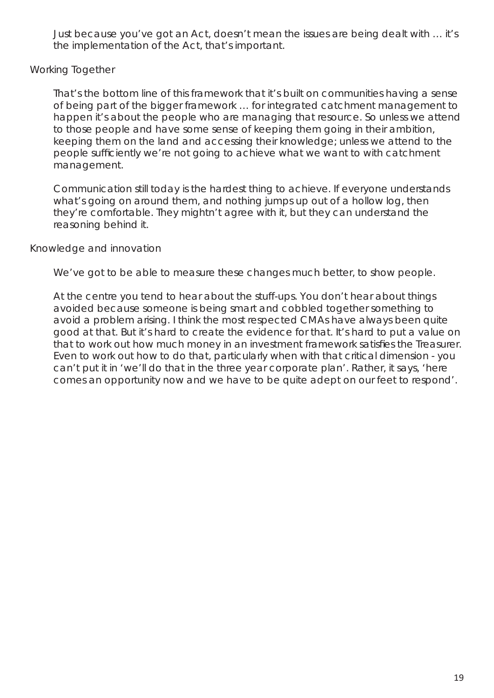*Just because you've got an Act, doesn't mean the issues are being dealt with … it's the implementation of the Act, that's important.*

### Working Together

*That's the bottom line of this framework that it's built on communities having a sense of being part of the bigger framework … for integrated catchment management to happen it's about the people who are managing that resource. So unless we attend to those people and have some sense of keeping them going in their ambition, keeping them on the land and accessing their knowledge; unless we attend to the people sufficiently we're not going to achieve what we want to with catchment management.*

*Communication still today is the hardest thing to achieve. If everyone understands*  what's going on around them, and nothing jumps up out of a hollow log, then *they're comfortable. They mightn't agree with it, but they can understand the reasoning behind it.*

### Knowledge and innovation

We've got to be able to measure these changes much better, to show people.

*At the centre you tend to hear about the stuff-ups. You don't hear about things avoided because someone is being smart and cobbled together something to avoid a problem arising. I think the most respected CMAs have always been quite good at that. But it's hard to create the evidence for that. It's hard to put a value on*  that to work out how much money in an investment framework satisfies the Treasurer. *Even to work out how to do that, particularly when with that critical dimension - you can't put it in 'we'll do that in the three year corporate plan'. Rather, it says, 'here comes an opportunity now and we have to be quite adept on our feet to respond'.*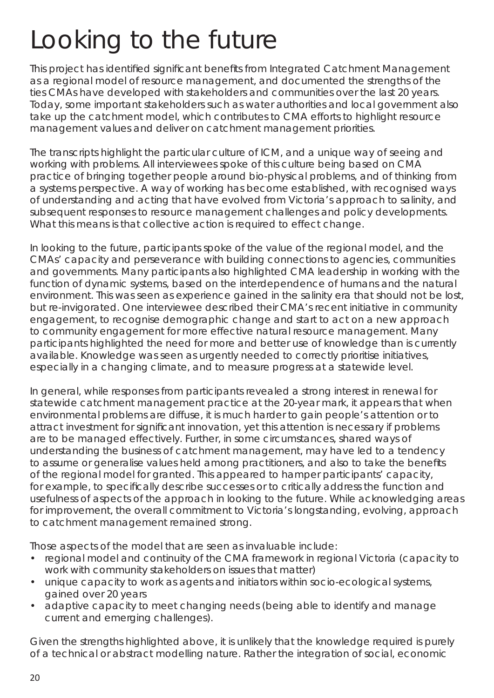# Looking to the future

This project has identified significant benefits from Integrated Catchment Management as a regional model of resource management, and documented the strengths of the ties CMAs have developed with stakeholders and communities over the last 20 years. Today, some important stakeholders such as water authorities and local government also take up the catchment model, which contributes to CMA efforts to highlight resource management values and deliver on catchment management priorities.

The transcripts highlight the particular culture of ICM, and a unique way of seeing and working with problems. All interviewees spoke of this culture being based on CMA practice of bringing together people around bio-physical problems, and of thinking from a systems perspective. A way of working has become established, with recognised ways of understanding and acting that have evolved from Victoria's approach to salinity, and subsequent responses to resource management challenges and policy developments. What this means is that collective action is required to effect change.

In looking to the future, participants spoke of the value of the regional model, and the CMAs' capacity and perseverance with building connections to agencies, communities and governments. Many participants also highlighted CMA leadership in working with the function of dynamic systems, based on the interdependence of humans and the natural environment. This was seen as experience gained in the salinity era that should not be lost, but re-invigorated. One interviewee described their CMA's recent initiative in community engagement, to recognise demographic change and start to act on a new approach to community engagement for more effective natural resource management. Many participants highlighted the need for more and better use of knowledge than is currently available. Knowledge was seen as urgently needed to correctly prioritise initiatives, especially in a changing climate, and to measure progress at a statewide level.

In general, while responses from participants revealed a strong interest in renewal for statewide catchment management practice at the 20-year mark, it appears that when environmental problems are diffuse, it is much harder to gain people's attention or to attract investment for significant innovation, yet this attention is necessary if problems are to be managed effectively. Further, in some circumstances, shared ways of understanding the business of catchment management, may have led to a tendency to assume or generalise values held among practitioners, and also to take the benefits of the regional model for granted. This appeared to hamper participants' capacity, for example, to specifically describe successes or to critically address the function and usefulness of aspects of the approach in looking to the future. While acknowledging areas for improvement, the overall commitment to Victoria's longstanding, evolving, approach to catchment management remained strong.

Those aspects of the model that are seen as invaluable include:

- regional model and continuity of the CMA framework in regional Victoria (capacity to work with community stakeholders on issues that matter)
- unique capacity to work as agents and initiators within socio-ecological systems, gained over 20 years
- adaptive capacity to meet changing needs (being able to identify and manage current and emerging challenges).

Given the strengths highlighted above, it is unlikely that the knowledge required is purely of a technical or abstract modelling nature. Rather the integration of social, economic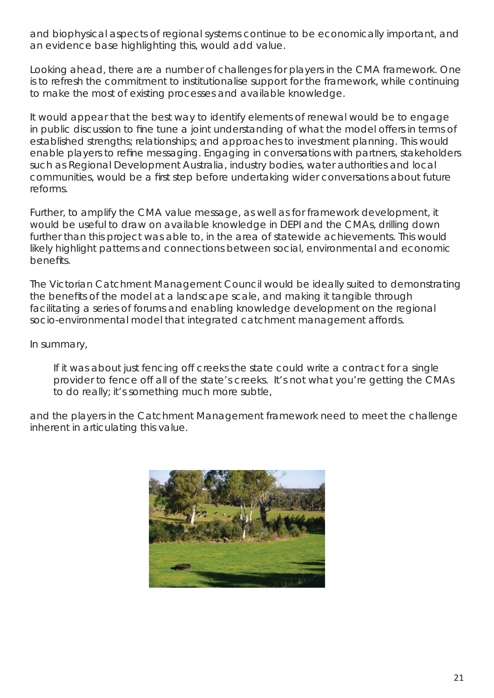and biophysical aspects of regional systems continue to be economically important, and an evidence base highlighting this, would add value.

Looking ahead, there are a number of challenges for players in the CMA framework. One is to refresh the commitment to institutionalise support for the framework, while continuing to make the most of existing processes and available knowledge.

It would appear that the best way to identify elements of renewal would be to engage in public discussion to fine tune a joint understanding of what the model offers in terms of established strengths; relationships; and approaches to investment planning. This would enable players to refine messaging. Engaging in conversations with partners, stakeholders such as Regional Development Australia, industry bodies, water authorities and local communities, would be a first step before undertaking wider conversations about future reforms.

Further, to amplify the CMA value message, as well as for framework development, it would be useful to draw on available knowledge in DEPI and the CMAs, drilling down further than this project was able to, in the area of statewide achievements. This would likely highlight patterns and connections between social, environmental and economic benefits.

The Victorian Catchment Management Council would be ideally suited to demonstrating the benefits of the model at a landscape scale, and making it tangible through facilitating a series of forums and enabling knowledge development on the regional socio-environmental model that integrated catchment management affords.

In summary,

*If it was about just fencing off creeks the state could write a contract for a single provider to fence off all of the state's creeks. It's not what you're getting the CMAs to do really; it's something much more subtle,* 

and the players in the Catchment Management framework need to meet the challenge inherent in articulating this value.

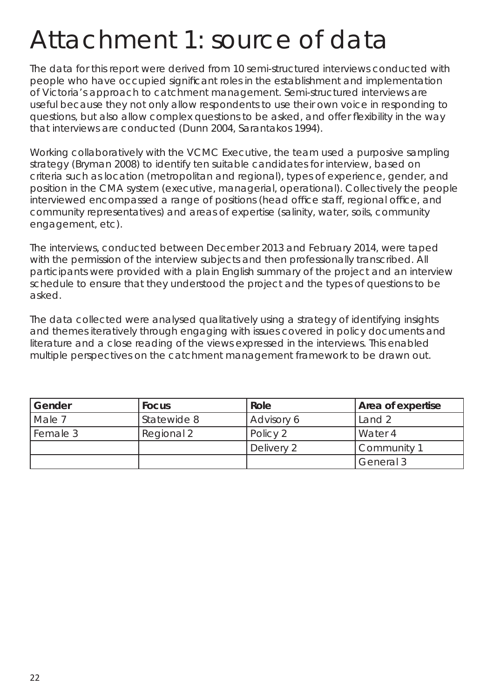### Attachment 1: source of data

The data for this report were derived from 10 semi-structured interviews conducted with people who have occupied significant roles in the establishment and implementation of Victoria's approach to catchment management. Semi-structured interviews are useful because they not only allow respondents to use their own voice in responding to questions, but also allow complex questions to be asked, and offer flexibility in the way that interviews are conducted (Dunn 2004, Sarantakos 1994).

Working collaboratively with the VCMC Executive, the team used a purposive sampling strategy (Bryman 2008) to identify ten suitable candidates for interview, based on criteria such as location (metropolitan and regional), types of experience, gender, and position in the CMA system (executive, managerial, operational). Collectively the people interviewed encompassed a range of positions (head office staff, regional office, and community representatives) and areas of expertise (salinity, water, soils, community engagement, etc).

The interviews, conducted between December 2013 and February 2014, were taped with the permission of the interview subjects and then professionally transcribed. All participants were provided with a plain English summary of the project and an interview schedule to ensure that they understood the project and the types of questions to be asked.

The data collected were analysed qualitatively using a strategy of identifying insights and themes iteratively through engaging with issues covered in policy documents and literature and a close reading of the views expressed in the interviews. This enabled multiple perspectives on the catchment management framework to be drawn out.

| Gender   | <b>Focus</b> | Role       | <b>Area of expertise</b> |
|----------|--------------|------------|--------------------------|
| Male 7   | Statewide 8  | Advisory 6 | Land 2                   |
| Female 3 | Regional 2   | Policy 2   | Water 4                  |
|          |              | Delivery 2 | Community 1              |
|          |              |            | General 3                |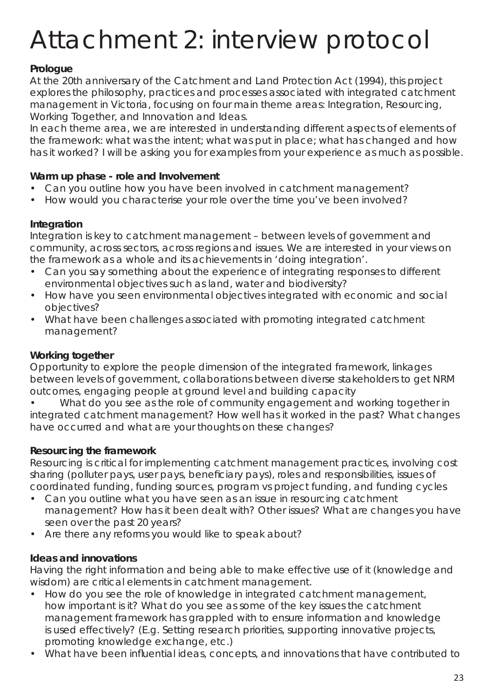# Attachment 2: interview protocol

### **Prologue**

*At the 20th anniversary of the Catchment and Land Protection Act (1994), this project explores the philosophy, practices and processes associated with integrated catchment management in Victoria, focusing on four main theme areas: Integration, Resourcing, Working Together, and Innovation and Ideas.* 

*In each theme area, we are interested in understanding different aspects of elements of the framework: what was the intent; what was put in place; what has changed and how has it worked? I will be asking you for examples from your experience as much as possible.*

### **Warm up phase - role and Involvement**

- Can you outline how you have been involved in catchment management?
- How would you characterise your role over the time you've been involved?

### **Integration**

*Integration is key to catchment management – between levels of government and community, across sectors, across regions and issues. We are interested in your views on the framework as a whole and its achievements in 'doing integration'.*

- Can you say something about the experience of integrating responses to different environmental objectives such as land, water and biodiversity?
- How have you seen environmental objectives integrated with economic and social objectives?
- What have been challenges associated with promoting integrated catchment management?

### **Working together**

Opportunity to explore the people dimension of the integrated framework, linkages between levels of government, collaborations between diverse stakeholders to get NRM outcomes, engaging people at ground level and building capacity

• What do you see as the role of community engagement and working together in integrated catchment management? How well has it worked in the past? What changes have occurred and what are your thoughts on these changes?

### **Resourcing the framework**

*Resourcing is critical for implementing catchment management practices, involving cost*  sharing (polluter pays, user pays, beneficiary pays), roles and responsibilities, issues of *coordinated funding, funding sources, program vs project funding, and funding cycles*

- Can you outline what you have seen as an issue in resourcing catchment management? How has it been dealt with? Other issues? What are changes you have seen over the past 20 years?
- Are there any reforms you would like to speak about?

### **Ideas and innovations**

*Having the right information and being able to make effective use of it (knowledge and wisdom) are critical elements in catchment management.* 

- How do you see the role of knowledge in integrated catchment management, how important is it? What do you see as some of the key issues the catchment management framework has grappled with to ensure information and knowledge is used effectively? (E.g. Setting research priorities, supporting innovative projects, promoting knowledge exchange, etc.)
- What have been influential ideas, concepts, and innovations that have contributed to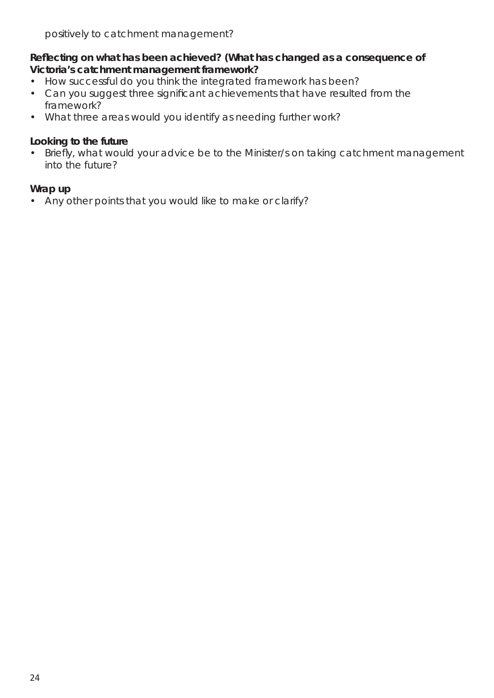### **Refl ecting on what has been achieved? (What has changed as a consequence of Victoria's catchment management framework?**

- How successful do you think the integrated framework has been?
- Can you suggest three significant achievements that have resulted from the framework?
- What three areas would you identify as needing further work?

### **Looking to the future**

• Briefly, what would your advice be to the Minister/s on taking catchment management into the future?

### **Wrap up**

• Any other points that you would like to make or clarify?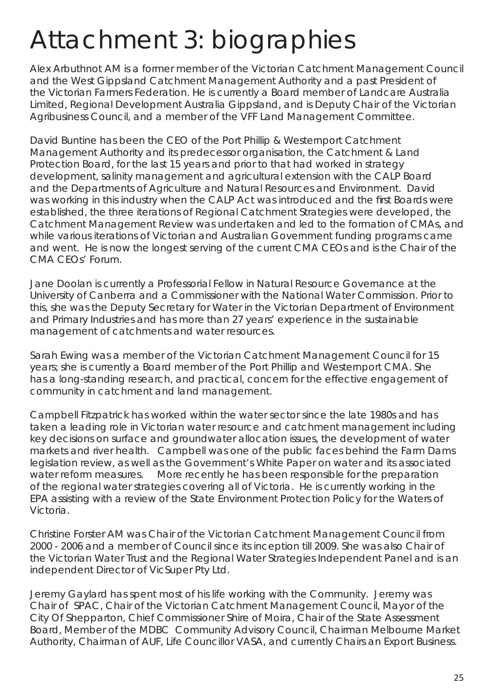## Attachment 3: biographies

Alex Arbuthnot AM is a former member of the Victorian Catchment Management Council and the West Gippsland Catchment Management Authority and a past President of the Victorian Farmers Federation. He is currently a Board member of Landcare Australia Limited, Regional Development Australia Gippsland, and is Deputy Chair of the Victorian Agribusiness Council, and a member of the VFF Land Management Committee.

David Buntine has been the CEO of the Port Phillip & Westernport Catchment Management Authority and its predecessor organisation, the Catchment & Land Protection Board, for the last 15 years and prior to that had worked in strategy development, salinity management and agricultural extension with the CALP Board and the Departments of Agriculture and Natural Resources and Environment. David was working in this industry when the CALP Act was introduced and the first Boards were established, the three iterations of Regional Catchment Strategies were developed, the Catchment Management Review was undertaken and led to the formation of CMAs, and while various iterations of Victorian and Australian Government funding programs came and went. He is now the longest serving of the current CMA CEOs and is the Chair of the CMA CEOs' Forum.

Jane Doolan is currently a Professorial Fellow in Natural Resource Governance at the University of Canberra and a Commissioner with the National Water Commission. Prior to this, she was the Deputy Secretary for Water in the Victorian Department of Environment and Primary Industries and has more than 27 years' experience in the sustainable management of catchments and water resources.

Sarah Ewing was a member of the Victorian Catchment Management Council for 15 years; she is currently a Board member of the Port Phillip and Westernport CMA. She has a long-standing research, and practical, concern for the effective engagement of community in catchment and land management.

Campbell Fitzpatrick has worked within the water sector since the late 1980s and has taken a leading role in Victorian water resource and catchment management including key decisions on surface and groundwater allocation issues, the development of water markets and river health. Campbell was one of the public faces behind the Farm Dams legislation review, as well as the Government's White Paper on water and its associated water reform measures. More recently he has been responsible for the preparation of the regional water strategies covering all of Victoria. He is currently working in the EPA assisting with a review of the State Environment Protection Policy for the Waters of Victoria.

Christine Forster AM was Chair of the Victorian Catchment Management Council from 2000 - 2006 and a member of Council since its inception till 2009. She was also Chair of the Victorian Water Trust and the Regional Water Strategies Independent Panel and is an independent Director of VicSuper Pty Ltd.

Jeremy Gaylard has spent most of his life working with the Community. Jeremy was Chair of SPAC, Chair of the Victorian Catchment Management Council, Mayor of the City Of Shepparton, Chief Commissioner Shire of Moira, Chair of the State Assessment Board, Member of the MDBC Community Advisory Council, Chairman Melbourne Market Authority, Chairman of AUF, Life Councillor VASA, and currently Chairs an Export Business.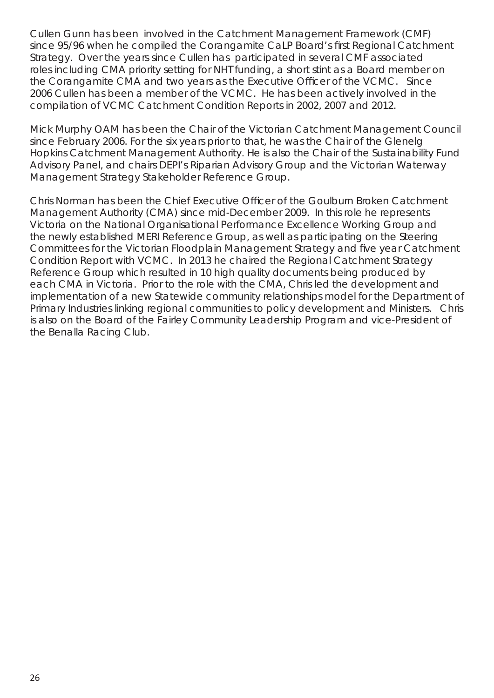Cullen Gunn has been involved in the Catchment Management Framework (CMF) since 95/96 when he compiled the Corangamite CaLP Board's first Regional Catchment Strategy. Over the years since Cullen has participated in several CMF associated roles including CMA priority setting for NHT funding, a short stint as a Board member on the Corangamite CMA and two years as the Executive Officer of the VCMC. Since 2006 Cullen has been a member of the VCMC. He has been actively involved in the compilation of VCMC Catchment Condition Reports in 2002, 2007 and 2012.

Mick Murphy OAM has been the Chair of the Victorian Catchment Management Council since February 2006. For the six years prior to that, he was the Chair of the Glenelg Hopkins Catchment Management Authority. He is also the Chair of the Sustainability Fund Advisory Panel, and chairs DEPI's Riparian Advisory Group and the Victorian Waterway Management Strategy Stakeholder Reference Group.

Chris Norman has been the Chief Executive Officer of the Goulburn Broken Catchment Management Authority (CMA) since mid-December 2009. In this role he represents Victoria on the National Organisational Performance Excellence Working Group and the newly established MERI Reference Group, as well as participating on the Steering Committees for the Victorian Floodplain Management Strategy and five year Catchment Condition Report with VCMC. In 2013 he chaired the Regional Catchment Strategy Reference Group which resulted in 10 high quality documents being produced by each CMA in Victoria. Prior to the role with the CMA, Chris led the development and implementation of a new Statewide community relationships model for the Department of Primary Industries linking regional communities to policy development and Ministers. Chris is also on the Board of the Fairley Community Leadership Program and vice-President of the Benalla Racing Club.